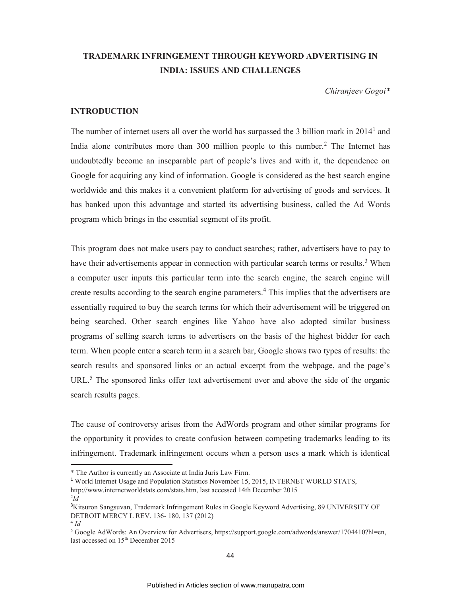# **TRADEMARK INFRINGEMENT THROUGH KEYWORD ADVERTISING IN INDIA: ISSUES AND CHALLENGES**

*Chiranjeev Gogoi\** 

# **INTRODUCTION**

The number of internet users all over the world has surpassed the  $3$  billion mark in  $2014<sup>1</sup>$  and India alone contributes more than 300 million people to this number.<sup>2</sup> The Internet has undoubtedly become an inseparable part of people's lives and with it, the dependence on Google for acquiring any kind of information. Google is considered as the best search engine worldwide and this makes it a convenient platform for advertising of goods and services. It has banked upon this advantage and started its advertising business, called the Ad Words program which brings in the essential segment of its profit.

This program does not make users pay to conduct searches; rather, advertisers have to pay to have their advertisements appear in connection with particular search terms or results.<sup>3</sup> When a computer user inputs this particular term into the search engine, the search engine will create results according to the search engine parameters.<sup>4</sup> This implies that the advertisers are essentially required to buy the search terms for which their advertisement will be triggered on being searched. Other search engines like Yahoo have also adopted similar business programs of selling search terms to advertisers on the basis of the highest bidder for each term. When people enter a search term in a search bar, Google shows two types of results: the search results and sponsored links or an actual excerpt from the webpage, and the page's URL.<sup>5</sup> The sponsored links offer text advertisement over and above the side of the organic search results pages.

The cause of controversy arises from the AdWords program and other similar programs for the opportunity it provides to create confusion between competing trademarks leading to its infringement. Trademark infringement occurs when a person uses a mark which is identical  $\overline{a}$ 

<sup>\*</sup> The Author is currently an Associate at India Juris Law Firm.

<sup>&</sup>lt;sup>1</sup> World Internet Usage and Population Statistics November 15, 2015, INTERNET WORLD STATS,

http://www.internetworldstats.com/stats.htm, last accessed 14th December 2015

<sup>2</sup> *Id*

<sup>&</sup>lt;sup>3</sup>Kitsuron Sangsuvan, Trademark Infringement Rules in Google Keyword Advertising, 89 UNIVERSITY OF DETROIT MERCY L REV. 136- 180, 137 (2012)

<sup>4</sup>  *Id*

<sup>&</sup>lt;sup>5</sup> Google AdWords: An Overview for Advertisers, https://support.google.com/adwords/answer/1704410?hl=en, last accessed on 15<sup>th</sup> December 2015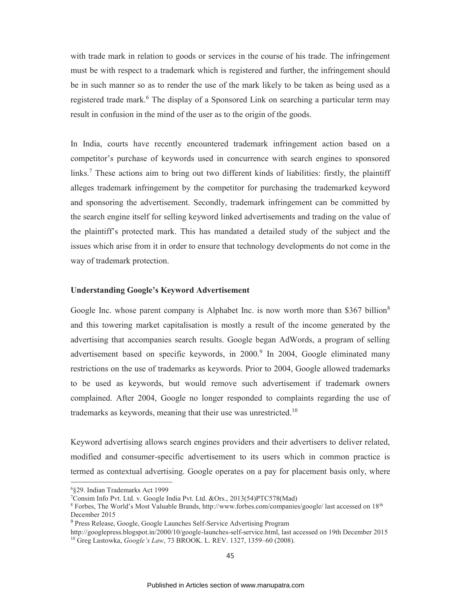with trade mark in relation to goods or services in the course of his trade. The infringement must be with respect to a trademark which is registered and further, the infringement should be in such manner so as to render the use of the mark likely to be taken as being used as a registered trade mark.<sup>6</sup> The display of a Sponsored Link on searching a particular term may result in confusion in the mind of the user as to the origin of the goods.

In India, courts have recently encountered trademark infringement action based on a competitor's purchase of keywords used in concurrence with search engines to sponsored links.<sup>7</sup> These actions aim to bring out two different kinds of liabilities: firstly, the plaintiff alleges trademark infringement by the competitor for purchasing the trademarked keyword and sponsoring the advertisement. Secondly, trademark infringement can be committed by the search engine itself for selling keyword linked advertisements and trading on the value of the plaintiff's protected mark. This has mandated a detailed study of the subject and the issues which arise from it in order to ensure that technology developments do not come in the way of trademark protection.

## **Understanding Google's Keyword Advertisement**

Google Inc. whose parent company is Alphabet Inc. is now worth more than \$367 billion<sup>8</sup> and this towering market capitalisation is mostly a result of the income generated by the advertising that accompanies search results. Google began AdWords, a program of selling advertisement based on specific keywords, in 2000.<sup>9</sup> In 2004, Google eliminated many restrictions on the use of trademarks as keywords. Prior to 2004, Google allowed trademarks to be used as keywords, but would remove such advertisement if trademark owners complained. After 2004, Google no longer responded to complaints regarding the use of trademarks as keywords, meaning that their use was unrestricted.<sup>10</sup>

Keyword advertising allows search engines providers and their advertisers to deliver related, modified and consumer-specific advertisement to its users which in common practice is termed as contextual advertising. Google operates on a pay for placement basis only, where  $\overline{a}$ 

<sup>6</sup>§29. Indian Trademarks Act 1999

<sup>7</sup>Consim Info Pvt. Ltd. v. Google India Pvt. Ltd. &Ors., 2013(54)PTC578(Mad)

 $8$  Forbes, The World's Most Valuable Brands, http://www.forbes.com/companies/google/ last accessed on  $18<sup>th</sup>$ December 2015

<sup>&</sup>lt;sup>9</sup> Press Release, Google, Google Launches Self-Service Advertising Program

http://googlepress.blogspot.in/2000/10/google-launches-self-service.html, last accessed on 19th December 2015 <sup>10</sup> Greg Lastowka, *Google's Law*, 73 BROOK. L. REV. 1327, 1359–60 (2008).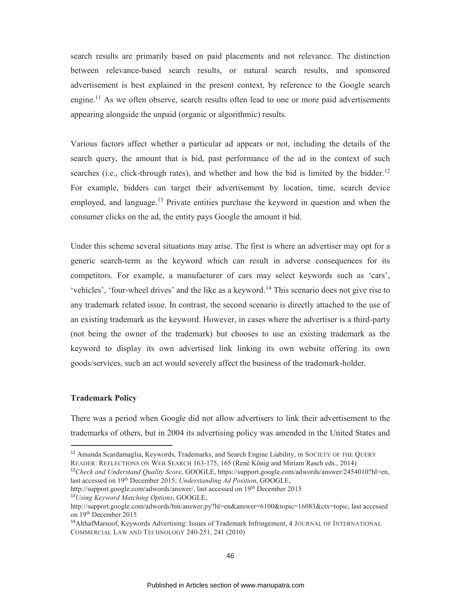search results are primarily based on paid placements and not relevance. The distinction between relevance-based search results, or natural search results, and sponsored advertisement is best explained in the present context, by reference to the Google search engine.<sup>11</sup> As we often observe, search results often lead to one or more paid advertisements appearing alongside the unpaid (organic or algorithmic) results.

Various factors affect whether a particular ad appears or not, including the details of the search query, the amount that is bid, past performance of the ad in the context of such searches (i.e., click-through rates), and whether and how the bid is limited by the bidder.<sup>12</sup> For example, bidders can target their advertisement by location, time, search device employed, and language.<sup>13</sup> Private entities purchase the keyword in question and when the consumer clicks on the ad, the entity pays Google the amount it bid.

Under this scheme several situations may arise. The first is where an advertiser may opt for a generic search-term as the keyword which can result in adverse consequences for its competitors. For example, a manufacturer of cars may select keywords such as 'cars', 'vehicles', 'four-wheel drives' and the like as a keyword.<sup>14</sup> This scenario does not give rise to any trademark related issue. In contrast, the second scenario is directly attached to the use of an existing trademark as the keyword. However, in cases where the advertiser is a third-party (not being the owner of the trademark) but chooses to use an existing trademark as the keyword to display its own advertised link linking its own website offering its own goods/services, such an act would severely affect the business of the trademark-holder.

#### **Trademark Policy**

 $\overline{a}$ 

There was a period when Google did not allow advertisers to link their advertisement to the trademarks of others, but in 2004 its advertising policy was amended in the United States and

http://support.google.com/adwords/answer/, last accessed on 19<sup>th</sup> December 2015

<sup>&</sup>lt;sup>11</sup> Amanda Scardamaglia, Keywords, Trademarks, and Search Engine Liability, in SOCIETY OF THE QUERY READER: REFLECTIONS ON WEB SEARCH 163-175, 165 (René König and Miriam Rasch eds., 2014)

<sup>12</sup>*Check and Understand Quality Score*, GOOGLE, https://support.google.com/adwords/answer/2454010?hl=en, last accessed on 19th December 2015; *Understanding Ad Position*, GOOGLE,

<sup>13</sup>*Using Keyword Matching Options*, GOOGLE,

http://support.google.com/adwords/bin/answer.py?hl=en&answer=6100&topic=16083&ctx=topic, last accessed on 19th December 2015

<sup>&</sup>lt;sup>14</sup>AlthafMarsoof, Keywords Advertising: Issues of Trademark Infringement, 4 JOURNAL OF INTERNATIONAL COMMERCIAL LAW AND TECHNOLOGY 240-251, 241 (2010)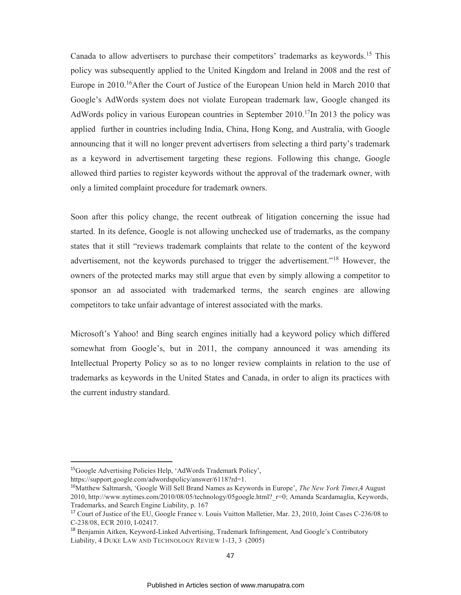Canada to allow advertisers to purchase their competitors' trademarks as keywords.<sup>15</sup> This policy was subsequently applied to the United Kingdom and Ireland in 2008 and the rest of Europe in  $2010$ .<sup>16</sup>After the Court of Justice of the European Union held in March 2010 that Google's AdWords system does not violate European trademark law, Google changed its AdWords policy in various European countries in September  $2010$ .<sup>17</sup>In 2013 the policy was applied further in countries including India, China, Hong Kong, and Australia, with Google announcing that it will no longer prevent advertisers from selecting a third party's trademark as a keyword in advertisement targeting these regions. Following this change, Google allowed third parties to register keywords without the approval of the trademark owner, with only a limited complaint procedure for trademark owners.

Soon after this policy change, the recent outbreak of litigation concerning the issue had started. In its defence, Google is not allowing unchecked use of trademarks, as the company states that it still "reviews trademark complaints that relate to the content of the keyword advertisement, not the keywords purchased to trigger the advertisement."<sup>18</sup> However, the owners of the protected marks may still argue that even by simply allowing a competitor to sponsor an ad associated with trademarked terms, the search engines are allowing competitors to take unfair advantage of interest associated with the marks.

Microsoft's Yahoo! and Bing search engines initially had a keyword policy which differed somewhat from Google's, but in 2011, the company announced it was amending its Intellectual Property Policy so as to no longer review complaints in relation to the use of trademarks as keywords in the United States and Canada, in order to align its practices with the current industry standard.

<sup>15</sup>Google Advertising Policies Help, 'AdWords Trademark Policy',

https://support.google.com/adwordspolicy/answer/6118?rd=1.

<sup>16</sup>Matthew Saltmarsh, 'Google Will Sell Brand Names as Keywords in Europe', *The New York Times*,4 August 2010, http://www.nytimes.com/2010/08/05/technology/05google.html?\_r=0; Amanda Scardamaglia, Keywords, Trademarks, and Search Engine Liability, p. 167

<sup>17</sup> Court of Justice of the EU, Google France v. Louis Vuitton Malletier, Mar. 23, 2010, Joint Cases C-236/08 to C-238/08, ECR 2010, I-02417.

<sup>18</sup> Benjamin Aitken, Keyword-Linked Advertising, Trademark Infringement, And Google's Contributory Liability, 4 DUKE LAW AND TECHNOLOGY REVIEW 1-13, 3 (2005)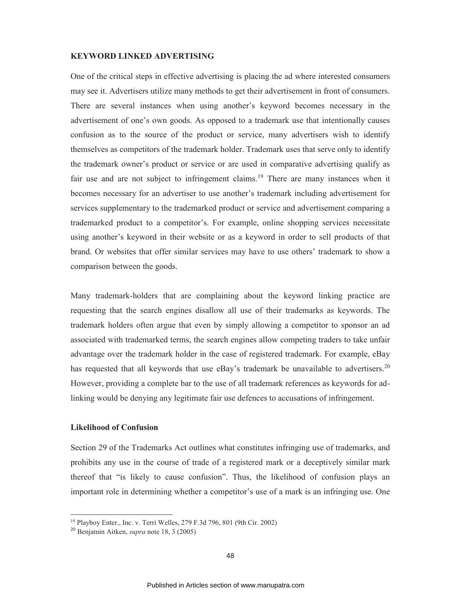#### **KEYWORD LINKED ADVERTISING**

One of the critical steps in effective advertising is placing the ad where interested consumers may see it. Advertisers utilize many methods to get their advertisement in front of consumers. There are several instances when using another's keyword becomes necessary in the advertisement of one's own goods. As opposed to a trademark use that intentionally causes confusion as to the source of the product or service, many advertisers wish to identify themselves as competitors of the trademark holder. Trademark uses that serve only to identify the trademark owner's product or service or are used in comparative advertising qualify as fair use and are not subject to infringement claims.<sup>19</sup> There are many instances when it becomes necessary for an advertiser to use another's trademark including advertisement for services supplementary to the trademarked product or service and advertisement comparing a trademarked product to a competitor's. For example, online shopping services necessitate using another's keyword in their website or as a keyword in order to sell products of that brand. Or websites that offer similar services may have to use others' trademark to show a comparison between the goods.

Many trademark-holders that are complaining about the keyword linking practice are requesting that the search engines disallow all use of their trademarks as keywords. The trademark holders often argue that even by simply allowing a competitor to sponsor an ad associated with trademarked terms, the search engines allow competing traders to take unfair advantage over the trademark holder in the case of registered trademark. For example, eBay has requested that all keywords that use eBay's trademark be unavailable to advertisers.<sup>20</sup> However, providing a complete bar to the use of all trademark references as keywords for adlinking would be denying any legitimate fair use defences to accusations of infringement.

## **Likelihood of Confusion**

 $\overline{a}$ 

Section 29 of the Trademarks Act outlines what constitutes infringing use of trademarks, and prohibits any use in the course of trade of a registered mark or a deceptively similar mark thereof that "is likely to cause confusion". Thus, the likelihood of confusion plays an important role in determining whether a competitor's use of a mark is an infringing use. One

<sup>19</sup> Playboy Enter., Inc. v. Terri Welles, 279 F.3d 796, 801 (9th Cir. 2002)

<sup>20</sup> Benjamin Aitken, *supra* note 18, 3 (2005)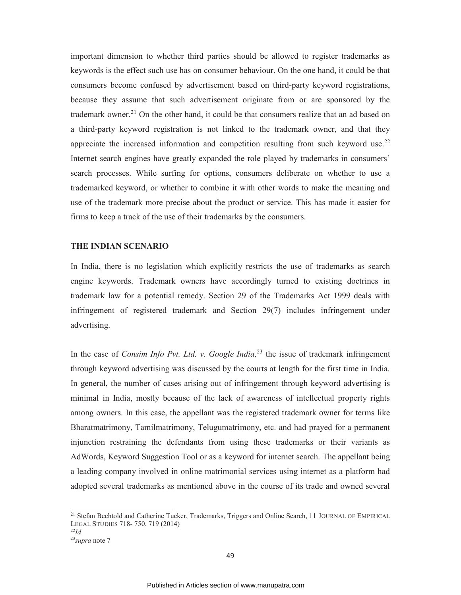important dimension to whether third parties should be allowed to register trademarks as keywords is the effect such use has on consumer behaviour. On the one hand, it could be that consumers become confused by advertisement based on third-party keyword registrations, because they assume that such advertisement originate from or are sponsored by the trademark owner.<sup>21</sup> On the other hand, it could be that consumers realize that an ad based on a third-party keyword registration is not linked to the trademark owner, and that they appreciate the increased information and competition resulting from such keyword use.<sup>22</sup> Internet search engines have greatly expanded the role played by trademarks in consumers' search processes. While surfing for options, consumers deliberate on whether to use a trademarked keyword, or whether to combine it with other words to make the meaning and use of the trademark more precise about the product or service. This has made it easier for firms to keep a track of the use of their trademarks by the consumers.

#### **THE INDIAN SCENARIO**

In India, there is no legislation which explicitly restricts the use of trademarks as search engine keywords. Trademark owners have accordingly turned to existing doctrines in trademark law for a potential remedy. Section 29 of the Trademarks Act 1999 deals with infringement of registered trademark and Section 29(7) includes infringement under advertising.

In the case of *Consim Info Pvt. Ltd. v. Google India*<sup>23</sup> the issue of trademark infringement through keyword advertising was discussed by the courts at length for the first time in India. In general, the number of cases arising out of infringement through keyword advertising is minimal in India, mostly because of the lack of awareness of intellectual property rights among owners. In this case, the appellant was the registered trademark owner for terms like Bharatmatrimony, Tamilmatrimony, Telugumatrimony, etc. and had prayed for a permanent injunction restraining the defendants from using these trademarks or their variants as AdWords, Keyword Suggestion Tool or as a keyword for internet search. The appellant being a leading company involved in online matrimonial services using internet as a platform had adopted several trademarks as mentioned above in the course of its trade and owned several

<sup>&</sup>lt;sup>21</sup> Stefan Bechtold and Catherine Tucker, Trademarks, Triggers and Online Search, 11 JOURNAL OF EMPIRICAL LEGAL STUDIES 718- 750, 719 (2014)

<sup>22</sup>*Id*

<sup>23</sup>*supra* note 7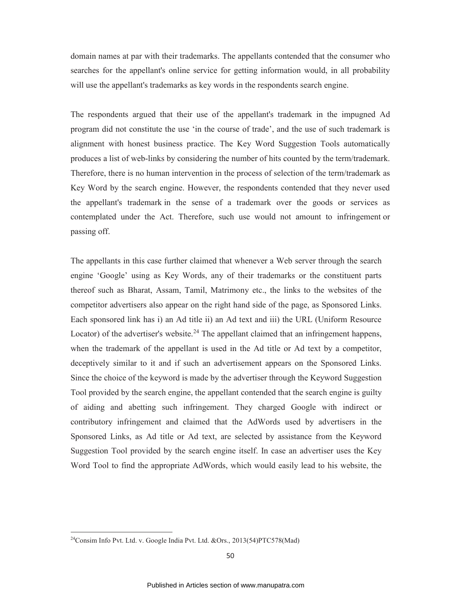domain names at par with their trademarks. The appellants contended that the consumer who searches for the appellant's online service for getting information would, in all probability will use the appellant's trademarks as key words in the respondents search engine.

The respondents argued that their use of the appellant's trademark in the impugned Ad program did not constitute the use 'in the course of trade', and the use of such trademark is alignment with honest business practice. The Key Word Suggestion Tools automatically produces a list of web-links by considering the number of hits counted by the term/trademark. Therefore, there is no human intervention in the process of selection of the term/trademark as Key Word by the search engine. However, the respondents contended that they never used the appellant's trademark in the sense of a trademark over the goods or services as contemplated under the Act. Therefore, such use would not amount to infringement or passing off.

The appellants in this case further claimed that whenever a Web server through the search engine 'Google' using as Key Words, any of their trademarks or the constituent parts thereof such as Bharat, Assam, Tamil, Matrimony etc., the links to the websites of the competitor advertisers also appear on the right hand side of the page, as Sponsored Links. Each sponsored link has i) an Ad title ii) an Ad text and iii) the URL (Uniform Resource Locator) of the advertiser's website.<sup>24</sup> The appellant claimed that an infringement happens, when the trademark of the appellant is used in the Ad title or Ad text by a competitor, deceptively similar to it and if such an advertisement appears on the Sponsored Links. Since the choice of the keyword is made by the advertiser through the Keyword Suggestion Tool provided by the search engine, the appellant contended that the search engine is guilty of aiding and abetting such infringement. They charged Google with indirect or contributory infringement and claimed that the AdWords used by advertisers in the Sponsored Links, as Ad title or Ad text, are selected by assistance from the Keyword Suggestion Tool provided by the search engine itself. In case an advertiser uses the Key Word Tool to find the appropriate AdWords, which would easily lead to his website, the

<sup>&</sup>lt;sup>24</sup>Consim Info Pvt. Ltd. v. Google India Pvt. Ltd. &Ors., 2013(54)PTC578(Mad)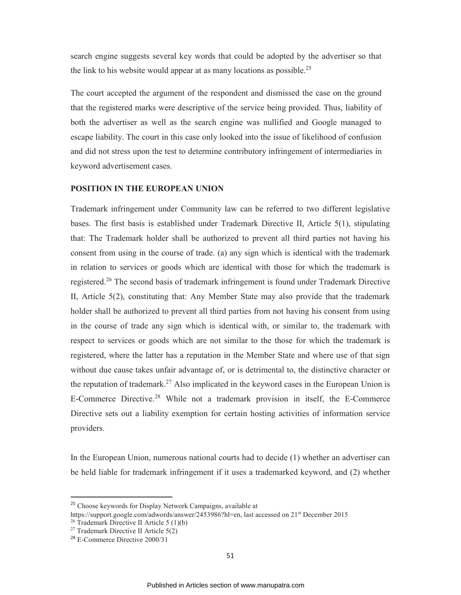search engine suggests several key words that could be adopted by the advertiser so that the link to his website would appear at as many locations as possible.<sup>25</sup>

The court accepted the argument of the respondent and dismissed the case on the ground that the registered marks were descriptive of the service being provided. Thus, liability of both the advertiser as well as the search engine was nullified and Google managed to escape liability. The court in this case only looked into the issue of likelihood of confusion and did not stress upon the test to determine contributory infringement of intermediaries in keyword advertisement cases.

## **POSITION IN THE EUROPEAN UNION**

Trademark infringement under Community law can be referred to two different legislative bases. The first basis is established under Trademark Directive II, Article 5(1), stipulating that: The Trademark holder shall be authorized to prevent all third parties not having his consent from using in the course of trade. (a) any sign which is identical with the trademark in relation to services or goods which are identical with those for which the trademark is registered.<sup>26</sup> The second basis of trademark infringement is found under Trademark Directive II, Article 5(2), constituting that: Any Member State may also provide that the trademark holder shall be authorized to prevent all third parties from not having his consent from using in the course of trade any sign which is identical with, or similar to, the trademark with respect to services or goods which are not similar to the those for which the trademark is registered, where the latter has a reputation in the Member State and where use of that sign without due cause takes unfair advantage of, or is detrimental to, the distinctive character or the reputation of trademark.<sup>27</sup> Also implicated in the keyword cases in the European Union is E-Commerce Directive.<sup>28</sup> While not a trademark provision in itself, the E-Commerce Directive sets out a liability exemption for certain hosting activities of information service providers.

In the European Union, numerous national courts had to decide (1) whether an advertiser can be held liable for trademark infringement if it uses a trademarked keyword, and (2) whether

<sup>25</sup> Choose keywords for Display Network Campaigns, available at

https://support.google.com/adwords/answer/2453986?hl=en, last accessed on 21<sup>st</sup> December 2015

<sup>&</sup>lt;sup>26</sup> Trademark Directive II Article  $5(1)(b)$ 

<sup>&</sup>lt;sup>27</sup> Trademark Directive II Article  $5(2)$ 

<sup>28</sup> E-Commerce Directive 2000/31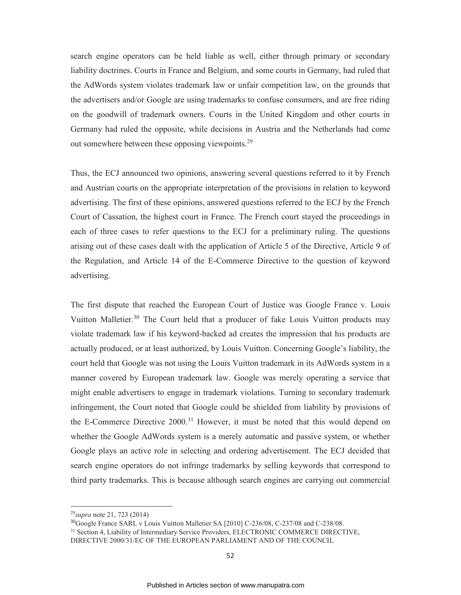search engine operators can be held liable as well, either through primary or secondary liability doctrines. Courts in France and Belgium, and some courts in Germany, had ruled that the AdWords system violates trademark law or unfair competition law, on the grounds that the advertisers and/or Google are using trademarks to confuse consumers, and are free riding on the goodwill of trademark owners. Courts in the United Kingdom and other courts in Germany had ruled the opposite, while decisions in Austria and the Netherlands had come out somewhere between these opposing viewpoints.<sup>29</sup>

Thus, the ECJ announced two opinions, answering several questions referred to it by French and Austrian courts on the appropriate interpretation of the provisions in relation to keyword advertising. The first of these opinions, answered questions referred to the ECJ by the French Court of Cassation, the highest court in France. The French court stayed the proceedings in each of three cases to refer questions to the ECJ for a preliminary ruling. The questions arising out of these cases dealt with the application of Article 5 of the Directive, Article 9 of the Regulation, and Article 14 of the E-Commerce Directive to the question of keyword advertising.

The first dispute that reached the European Court of Justice was Google France v. Louis Vuitton Malletier.<sup>30</sup> The Court held that a producer of fake Louis Vuitton products may violate trademark law if his keyword-backed ad creates the impression that his products are actually produced, or at least authorized, by Louis Vuitton. Concerning Google's liability, the court held that Google was not using the Louis Vuitton trademark in its AdWords system in a manner covered by European trademark law. Google was merely operating a service that might enable advertisers to engage in trademark violations. Turning to secondary trademark infringement, the Court noted that Google could be shielded from liability by provisions of the E-Commerce Directive 2000.<sup>31</sup> However, it must be noted that this would depend on whether the Google AdWords system is a merely automatic and passive system, or whether Google plays an active role in selecting and ordering advertisement. The ECJ decided that search engine operators do not infringe trademarks by selling keywords that correspond to third party trademarks. This is because although search engines are carrying out commercial

<sup>29</sup>*supra* note 21, 723 (2014)

<sup>&</sup>lt;sup>30</sup>Google France SARL v Louis Vuitton Malletier SA [2010] C-236/08, C-237/08 and C-238/08.

<sup>&</sup>lt;sup>31</sup> Section 4, Liability of Intermediary Service Providers, ELECTRONIC COMMERCE DIRECTIVE, DIRECTIVE 2000/31/EC OF THE EUROPEAN PARLIAMENT AND OF THE COUNCIL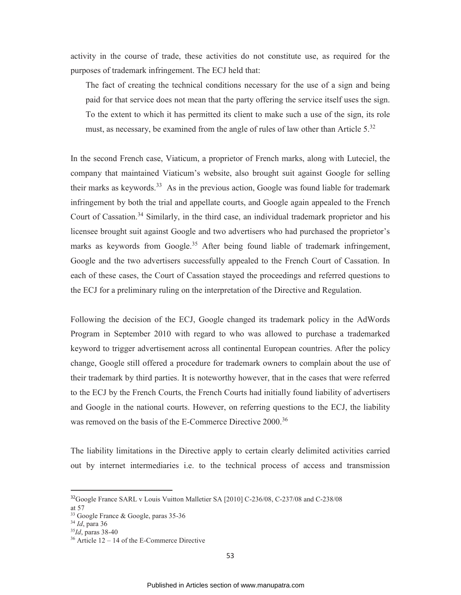activity in the course of trade, these activities do not constitute use, as required for the purposes of trademark infringement. The ECJ held that:

The fact of creating the technical conditions necessary for the use of a sign and being paid for that service does not mean that the party offering the service itself uses the sign. To the extent to which it has permitted its client to make such a use of the sign, its role must, as necessary, be examined from the angle of rules of law other than Article 5.<sup>32</sup>

In the second French case, Viaticum, a proprietor of French marks, along with Luteciel, the company that maintained Viaticum's website, also brought suit against Google for selling their marks as keywords.<sup>33</sup> As in the previous action, Google was found liable for trademark infringement by both the trial and appellate courts, and Google again appealed to the French Court of Cassation.<sup>34</sup> Similarly, in the third case, an individual trademark proprietor and his licensee brought suit against Google and two advertisers who had purchased the proprietor's marks as keywords from Google.<sup>35</sup> After being found liable of trademark infringement, Google and the two advertisers successfully appealed to the French Court of Cassation. In each of these cases, the Court of Cassation stayed the proceedings and referred questions to the ECJ for a preliminary ruling on the interpretation of the Directive and Regulation.

Following the decision of the ECJ, Google changed its trademark policy in the AdWords Program in September 2010 with regard to who was allowed to purchase a trademarked keyword to trigger advertisement across all continental European countries. After the policy change, Google still offered a procedure for trademark owners to complain about the use of their trademark by third parties. It is noteworthy however, that in the cases that were referred to the ECJ by the French Courts, the French Courts had initially found liability of advertisers and Google in the national courts. However, on referring questions to the ECJ, the liability was removed on the basis of the E-Commerce Directive 2000.<sup>36</sup>

The liability limitations in the Directive apply to certain clearly delimited activities carried out by internet intermediaries i.e. to the technical process of access and transmission

<sup>&</sup>lt;sup>32</sup>Google France SARL v Louis Vuitton Malletier SA [2010] C-236/08, C-237/08 and C-238/08

at 57

<sup>33</sup> Google France & Google, paras 35-36

<sup>34</sup> *Id*, para 36

<sup>35</sup>*Id*, paras 38-40

 $36$  Article 12 – 14 of the E-Commerce Directive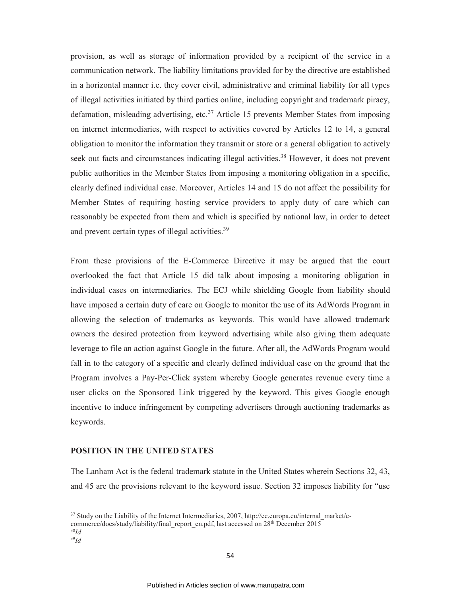provision, as well as storage of information provided by a recipient of the service in a communication network. The liability limitations provided for by the directive are established in a horizontal manner i.e. they cover civil, administrative and criminal liability for all types of illegal activities initiated by third parties online, including copyright and trademark piracy, defamation, misleading advertising, etc.<sup>37</sup> Article 15 prevents Member States from imposing on internet intermediaries, with respect to activities covered by Articles 12 to 14, a general obligation to monitor the information they transmit or store or a general obligation to actively seek out facts and circumstances indicating illegal activities.<sup>38</sup> However, it does not prevent public authorities in the Member States from imposing a monitoring obligation in a specific, clearly defined individual case. Moreover, Articles 14 and 15 do not affect the possibility for Member States of requiring hosting service providers to apply duty of care which can reasonably be expected from them and which is specified by national law, in order to detect and prevent certain types of illegal activities.<sup>39</sup>

From these provisions of the E-Commerce Directive it may be argued that the court overlooked the fact that Article 15 did talk about imposing a monitoring obligation in individual cases on intermediaries. The ECJ while shielding Google from liability should have imposed a certain duty of care on Google to monitor the use of its AdWords Program in allowing the selection of trademarks as keywords. This would have allowed trademark owners the desired protection from keyword advertising while also giving them adequate leverage to file an action against Google in the future. After all, the AdWords Program would fall in to the category of a specific and clearly defined individual case on the ground that the Program involves a Pay-Per-Click system whereby Google generates revenue every time a user clicks on the Sponsored Link triggered by the keyword. This gives Google enough incentive to induce infringement by competing advertisers through auctioning trademarks as keywords.

## **POSITION IN THE UNITED STATES**

The Lanham Act is the federal trademark statute in the United States wherein Sections 32, 43, and 45 are the provisions relevant to the keyword issue. Section 32 imposes liability for "use

<sup>&</sup>lt;sup>37</sup> Study on the Liability of the Internet Intermediaries, 2007, http://ec.europa.eu/internal\_market/ecommerce/docs/study/liability/final\_report\_en.pdf, last accessed on 28<sup>th</sup> December 2015

<sup>38</sup>*Id* <sup>39</sup>*Id*

<sup>54</sup>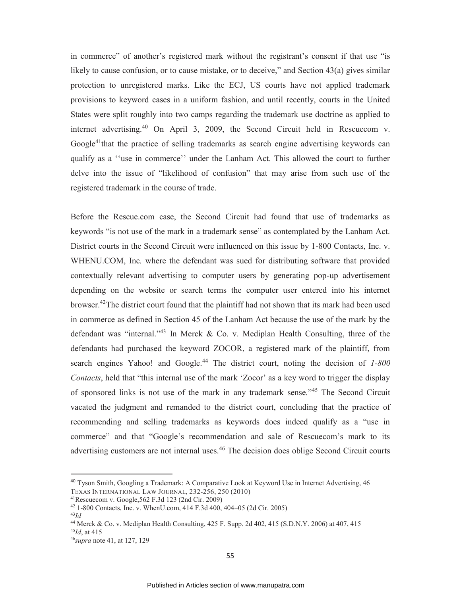in commerce" of another's registered mark without the registrant's consent if that use "is likely to cause confusion, or to cause mistake, or to deceive," and Section 43(a) gives similar protection to unregistered marks. Like the ECJ, US courts have not applied trademark provisions to keyword cases in a uniform fashion, and until recently, courts in the United States were split roughly into two camps regarding the trademark use doctrine as applied to internet advertising.<sup>40</sup> On April 3, 2009, the Second Circuit held in Rescuecom v. Google<sup>41</sup>that the practice of selling trademarks as search engine advertising keywords can qualify as a ''use in commerce'' under the Lanham Act. This allowed the court to further delve into the issue of "likelihood of confusion" that may arise from such use of the registered trademark in the course of trade.

Before the Rescue.com case, the Second Circuit had found that use of trademarks as keywords "is not use of the mark in a trademark sense" as contemplated by the Lanham Act. District courts in the Second Circuit were influenced on this issue by 1-800 Contacts, Inc. v. WHENU.COM, Inc*.* where the defendant was sued for distributing software that provided contextually relevant advertising to computer users by generating pop-up advertisement depending on the website or search terms the computer user entered into his internet browser.<sup>42</sup>The district court found that the plaintiff had not shown that its mark had been used in commerce as defined in Section 45 of the Lanham Act because the use of the mark by the defendant was "internal."<sup>43</sup> In Merck & Co. v. Mediplan Health Consulting, three of the defendants had purchased the keyword ZOCOR, a registered mark of the plaintiff, from search engines Yahoo! and Google.<sup>44</sup> The district court, noting the decision of *1-800 Contacts*, held that "this internal use of the mark 'Zocor' as a key word to trigger the display of sponsored links is not use of the mark in any trademark sense."<sup>45</sup> The Second Circuit vacated the judgment and remanded to the district court, concluding that the practice of recommending and selling trademarks as keywords does indeed qualify as a "use in commerce" and that "Google's recommendation and sale of Rescuecom's mark to its advertising customers are not internal uses.<sup>46</sup> The decision does oblige Second Circuit courts

<sup>40</sup> Tyson Smith, Googling a Trademark: A Comparative Look at Keyword Use in Internet Advertising, 46 TEXAS INTERNATIONAL LAW JOURNAL, 232-256, 250 (2010)

<sup>41</sup>Rescuecom v. Google,562 F.3d 123 (2nd Cir. 2009)

<sup>42</sup> 1-800 Contacts, Inc. v. WhenU.com, 414 F.3d 400, 404–05 (2d Cir. 2005)

<sup>43</sup>*Id*

<sup>44</sup> Merck & Co. v. Mediplan Health Consulting, 425 F. Supp. 2d 402, 415 (S.D.N.Y. 2006) at 407, 415 <sup>45</sup>*Id*, at 415

<sup>46</sup>*supra* note 41, at 127, 129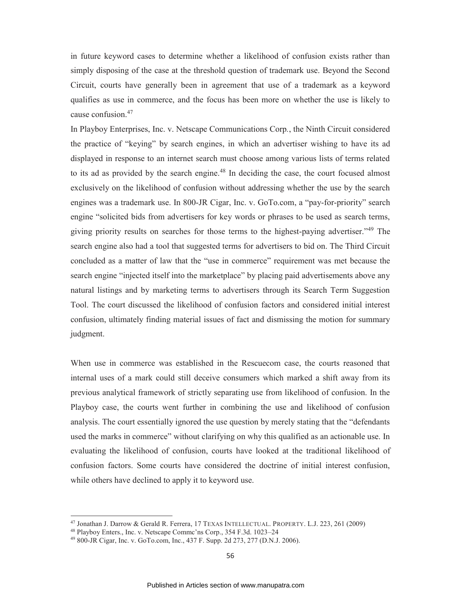in future keyword cases to determine whether a likelihood of confusion exists rather than simply disposing of the case at the threshold question of trademark use. Beyond the Second Circuit, courts have generally been in agreement that use of a trademark as a keyword qualifies as use in commerce, and the focus has been more on whether the use is likely to cause confusion.<sup>47</sup>

In Playboy Enterprises, Inc. v. Netscape Communications Corp*.*, the Ninth Circuit considered the practice of "keying" by search engines, in which an advertiser wishing to have its ad displayed in response to an internet search must choose among various lists of terms related to its ad as provided by the search engine.<sup>48</sup> In deciding the case, the court focused almost exclusively on the likelihood of confusion without addressing whether the use by the search engines was a trademark use. In 800-JR Cigar, Inc. v. GoTo.com, a "pay-for-priority" search engine "solicited bids from advertisers for key words or phrases to be used as search terms, giving priority results on searches for those terms to the highest-paying advertiser."<sup>49</sup> The search engine also had a tool that suggested terms for advertisers to bid on. The Third Circuit concluded as a matter of law that the "use in commerce" requirement was met because the search engine "injected itself into the marketplace" by placing paid advertisements above any natural listings and by marketing terms to advertisers through its Search Term Suggestion Tool. The court discussed the likelihood of confusion factors and considered initial interest confusion, ultimately finding material issues of fact and dismissing the motion for summary judgment.

When use in commerce was established in the Rescuecom case, the courts reasoned that internal uses of a mark could still deceive consumers which marked a shift away from its previous analytical framework of strictly separating use from likelihood of confusion. In the Playboy case, the courts went further in combining the use and likelihood of confusion analysis. The court essentially ignored the use question by merely stating that the "defendants used the marks in commerce" without clarifying on why this qualified as an actionable use. In evaluating the likelihood of confusion, courts have looked at the traditional likelihood of confusion factors. Some courts have considered the doctrine of initial interest confusion, while others have declined to apply it to keyword use.

<sup>47</sup> Jonathan J. Darrow & Gerald R. Ferrera, 17 TEXAS INTELLECTUAL. PROPERTY. L.J. 223, 261 (2009)

<sup>48</sup> Playboy Enters., Inc. v. Netscape Commc'ns Corp., 354 F.3d. 1023–24

<sup>49</sup> 800-JR Cigar, Inc. v. GoTo.com, Inc., 437 F. Supp. 2d 273, 277 (D.N.J. 2006).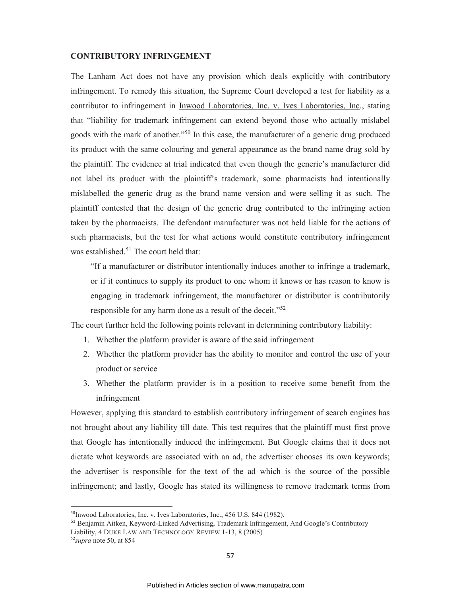#### **CONTRIBUTORY INFRINGEMENT**

The Lanham Act does not have any provision which deals explicitly with contributory infringement. To remedy this situation, the Supreme Court developed a test for liability as a contributor to infringement in Inwood Laboratories, Inc. v. Ives Laboratories, Inc., stating that "liability for trademark infringement can extend beyond those who actually mislabel goods with the mark of another."<sup>50</sup> In this case, the manufacturer of a generic drug produced its product with the same colouring and general appearance as the brand name drug sold by the plaintiff. The evidence at trial indicated that even though the generic's manufacturer did not label its product with the plaintiff's trademark, some pharmacists had intentionally mislabelled the generic drug as the brand name version and were selling it as such. The plaintiff contested that the design of the generic drug contributed to the infringing action taken by the pharmacists. The defendant manufacturer was not held liable for the actions of such pharmacists, but the test for what actions would constitute contributory infringement was established. $51$  The court held that:

"If a manufacturer or distributor intentionally induces another to infringe a trademark, or if it continues to supply its product to one whom it knows or has reason to know is engaging in trademark infringement, the manufacturer or distributor is contributorily responsible for any harm done as a result of the deceit."<sup>52</sup>

The court further held the following points relevant in determining contributory liability:

- 1. Whether the platform provider is aware of the said infringement
- 2. Whether the platform provider has the ability to monitor and control the use of your product or service
- 3. Whether the platform provider is in a position to receive some benefit from the infringement

However, applying this standard to establish contributory infringement of search engines has not brought about any liability till date. This test requires that the plaintiff must first prove that Google has intentionally induced the infringement. But Google claims that it does not dictate what keywords are associated with an ad, the advertiser chooses its own keywords; the advertiser is responsible for the text of the ad which is the source of the possible infringement; and lastly, Google has stated its willingness to remove trademark terms from

<sup>&</sup>lt;sup>50</sup>Inwood Laboratories, Inc. v. Ives Laboratories, Inc., 456 U.S. 844 (1982).

<sup>&</sup>lt;sup>51</sup> Benjamin Aitken, Keyword-Linked Advertising, Trademark Infringement, And Google's Contributory Liability, 4 DUKE LAW AND TECHNOLOGY REVIEW 1-13, 8 (2005)

<sup>52</sup>*supra* note 50, at 854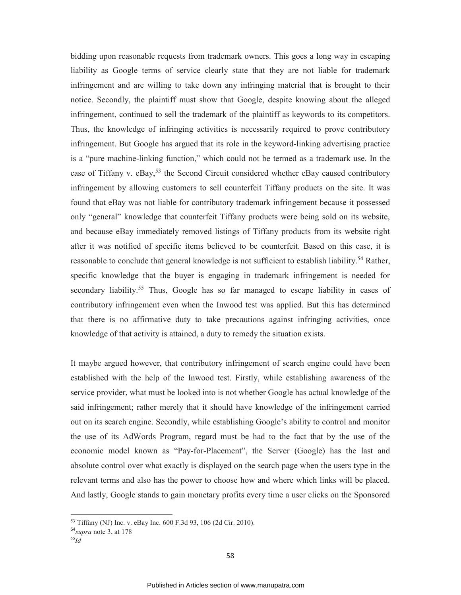bidding upon reasonable requests from trademark owners. This goes a long way in escaping liability as Google terms of service clearly state that they are not liable for trademark infringement and are willing to take down any infringing material that is brought to their notice. Secondly, the plaintiff must show that Google, despite knowing about the alleged infringement, continued to sell the trademark of the plaintiff as keywords to its competitors. Thus, the knowledge of infringing activities is necessarily required to prove contributory infringement. But Google has argued that its role in the keyword-linking advertising practice is a "pure machine-linking function," which could not be termed as a trademark use. In the case of Tiffany v.  $eBay$ <sup>53</sup>, the Second Circuit considered whether  $eBay$  caused contributory infringement by allowing customers to sell counterfeit Tiffany products on the site. It was found that eBay was not liable for contributory trademark infringement because it possessed only "general" knowledge that counterfeit Tiffany products were being sold on its website, and because eBay immediately removed listings of Tiffany products from its website right after it was notified of specific items believed to be counterfeit. Based on this case, it is reasonable to conclude that general knowledge is not sufficient to establish liability.<sup>54</sup> Rather, specific knowledge that the buyer is engaging in trademark infringement is needed for secondary liability.<sup>55</sup> Thus, Google has so far managed to escape liability in cases of contributory infringement even when the Inwood test was applied. But this has determined that there is no affirmative duty to take precautions against infringing activities, once knowledge of that activity is attained, a duty to remedy the situation exists.

It maybe argued however, that contributory infringement of search engine could have been established with the help of the Inwood test. Firstly, while establishing awareness of the service provider, what must be looked into is not whether Google has actual knowledge of the said infringement; rather merely that it should have knowledge of the infringement carried out on its search engine. Secondly, while establishing Google's ability to control and monitor the use of its AdWords Program, regard must be had to the fact that by the use of the economic model known as "Pay-for-Placement", the Server (Google) has the last and absolute control over what exactly is displayed on the search page when the users type in the relevant terms and also has the power to choose how and where which links will be placed. And lastly, Google stands to gain monetary profits every time a user clicks on the Sponsored

<sup>53</sup> Tiffany (NJ) Inc. v. eBay Inc. 600 F.3d 93, 106 (2d Cir. 2010).

<sup>54</sup>*supra* note 3, at 178

<sup>55</sup>*Id*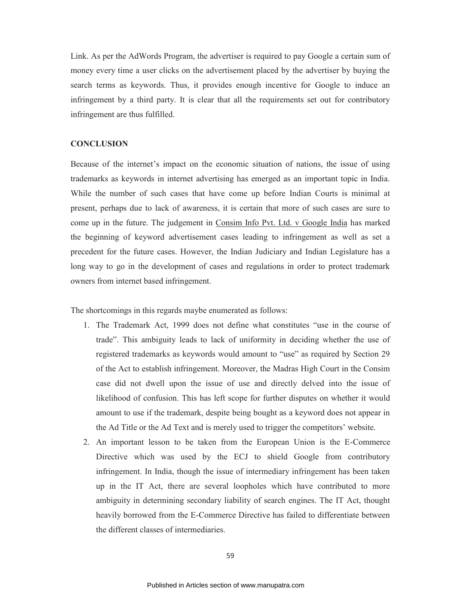Link. As per the AdWords Program, the advertiser is required to pay Google a certain sum of money every time a user clicks on the advertisement placed by the advertiser by buying the search terms as keywords. Thus, it provides enough incentive for Google to induce an infringement by a third party. It is clear that all the requirements set out for contributory infringement are thus fulfilled.

## **CONCLUSION**

Because of the internet's impact on the economic situation of nations, the issue of using trademarks as keywords in internet advertising has emerged as an important topic in India. While the number of such cases that have come up before Indian Courts is minimal at present, perhaps due to lack of awareness, it is certain that more of such cases are sure to come up in the future. The judgement in Consim Info Pvt. Ltd. v Google India has marked the beginning of keyword advertisement cases leading to infringement as well as set a precedent for the future cases. However, the Indian Judiciary and Indian Legislature has a long way to go in the development of cases and regulations in order to protect trademark owners from internet based infringement.

The shortcomings in this regards maybe enumerated as follows:

- 1. The Trademark Act, 1999 does not define what constitutes "use in the course of trade". This ambiguity leads to lack of uniformity in deciding whether the use of registered trademarks as keywords would amount to "use" as required by Section 29 of the Act to establish infringement. Moreover, the Madras High Court in the Consim case did not dwell upon the issue of use and directly delved into the issue of likelihood of confusion. This has left scope for further disputes on whether it would amount to use if the trademark, despite being bought as a keyword does not appear in the Ad Title or the Ad Text and is merely used to trigger the competitors' website.
- 2. An important lesson to be taken from the European Union is the E-Commerce Directive which was used by the ECJ to shield Google from contributory infringement. In India, though the issue of intermediary infringement has been taken up in the IT Act, there are several loopholes which have contributed to more ambiguity in determining secondary liability of search engines. The IT Act, thought heavily borrowed from the E-Commerce Directive has failed to differentiate between the different classes of intermediaries.